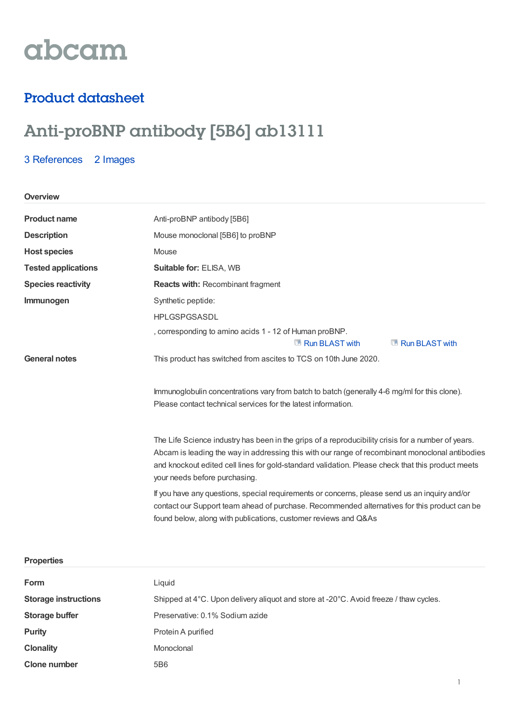# abcam

## Product datasheet

# Anti-proBNP antibody [5B6] ab13111

### 3 [References](https://www.abcam.com/probnp-antibody-5b6-ab13111.html#description_references) 2 Images

#### **Overview**

| <b>Product name</b>        | Anti-proBNP antibody [5B6]                                                                         |  |
|----------------------------|----------------------------------------------------------------------------------------------------|--|
| <b>Description</b>         | Mouse monoclonal [5B6] to proBNP                                                                   |  |
| <b>Host species</b>        | Mouse                                                                                              |  |
| <b>Tested applications</b> | Suitable for: ELISA, WB                                                                            |  |
| <b>Species reactivity</b>  | <b>Reacts with: Recombinant fragment</b>                                                           |  |
| Immunogen                  | Synthetic peptide:                                                                                 |  |
|                            | <b>HPLGSPGSASDL</b>                                                                                |  |
|                            | , corresponding to amino acids 1 - 12 of Human proBNP.                                             |  |
|                            | Run BLAST with<br>Run BLAST with                                                                   |  |
| <b>General notes</b>       | This product has switched from ascites to TCS on 10th June 2020.                                   |  |
|                            |                                                                                                    |  |
|                            | Immunoglobulin concentrations vary from batch to batch (generally 4-6 mg/ml for this clone).       |  |
|                            | Please contact technical services for the latest information.                                      |  |
|                            |                                                                                                    |  |
|                            | The Life Science industry has been in the grips of a reproducibility crisis for a number of years. |  |
|                            | Abcam is leading the way in addressing this with our range of recombinant monoclonal antibodies    |  |
|                            | and knockout edited cell lines for gold-standard validation. Please check that this product meets  |  |
|                            | your needs before purchasing.                                                                      |  |
|                            | If you have any questions, special requirements or concerns, please send us an inquiry and/or      |  |
|                            | contact our Support team ahead of purchase. Recommended alternatives for this product can be       |  |
|                            | found below, along with publications, customer reviews and Q&As                                    |  |

| <b>Properties</b>           |                                                                                       |
|-----------------------------|---------------------------------------------------------------------------------------|
| Form                        | Liquid                                                                                |
| <b>Storage instructions</b> | Shipped at 4°C. Upon delivery aliquot and store at -20°C. Avoid freeze / thaw cycles. |
| Storage buffer              | Preservative: 0.1% Sodium azide                                                       |
| <b>Purity</b>               | Protein A purified                                                                    |
| <b>Clonality</b>            | Monoclonal                                                                            |
| <b>Clone number</b>         | 5B6                                                                                   |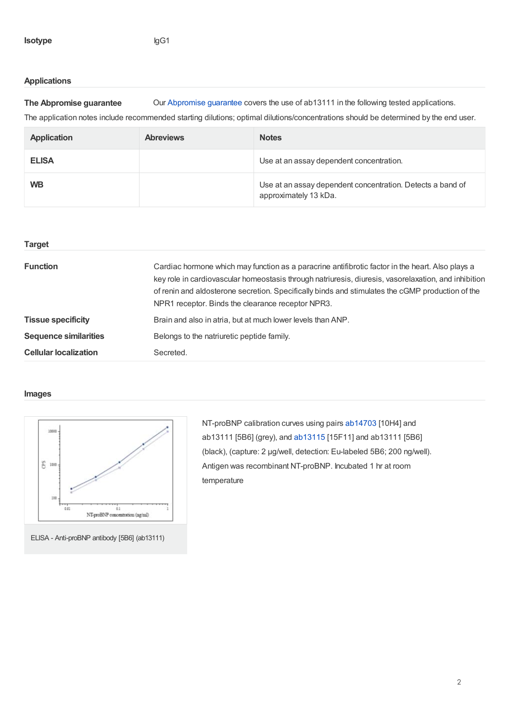#### **Applications**

**The Abpromise guarantee** Our [Abpromise](https://www.abcam.com/abpromise) guarantee covers the use of ab13111 in the following tested applications. The application notes include recommended starting dilutions; optimal dilutions/concentrations should be determined by the end user.

| <b>Application</b> | <b>Abreviews</b> | <b>Notes</b>                                                                        |
|--------------------|------------------|-------------------------------------------------------------------------------------|
| <b>ELISA</b>       |                  | Use at an assay dependent concentration.                                            |
| <b>WB</b>          |                  | Use at an assay dependent concentration. Detects a band of<br>approximately 13 kDa. |

| <b>Target</b>                |                                                                                                                                                                                                                                                                                                                                                                   |
|------------------------------|-------------------------------------------------------------------------------------------------------------------------------------------------------------------------------------------------------------------------------------------------------------------------------------------------------------------------------------------------------------------|
| <b>Function</b>              | Cardiac hormone which may function as a paracrine antifibrotic factor in the heart. Also plays a<br>key role in cardiovascular homeostasis through natriuresis, diuresis, vasorelaxation, and inhibition<br>of renin and aldosterone secretion. Specifically binds and stimulates the cGMP production of the<br>NPR1 receptor. Binds the clearance receptor NPR3. |
| <b>Tissue specificity</b>    | Brain and also in atria, but at much lower levels than ANP.                                                                                                                                                                                                                                                                                                       |
| <b>Sequence similarities</b> | Belongs to the natriuretic peptide family.                                                                                                                                                                                                                                                                                                                        |
| <b>Cellular localization</b> | Secreted.                                                                                                                                                                                                                                                                                                                                                         |

#### **Images**



ELISA - Anti-proBNP antibody [5B6] (ab13111)

NT-proBNP calibration curves using pairs [ab14703](https://www.abcam.com/ab14703.html) [10H4] and ab13111 [5B6] (grey), and [ab13115](https://www.abcam.com/ab13115.html) [15F11] and ab13111 [5B6] (black), (capture: 2 µg/well, detection: Eu-labeled 5B6; 200 ng/well). Antigen was recombinant NT-proBNP. Incubated 1 hr at room temperature